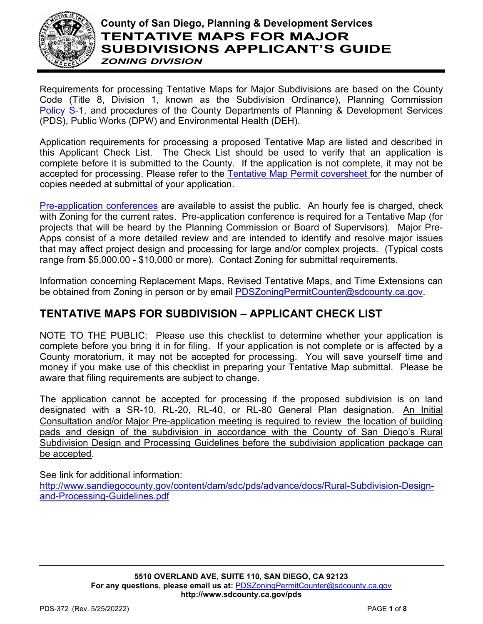

# **County of San Diego, Planning & Development Services TENTATIVE MAPS FOR MAJOR SUBDIVISIONS APPLICANT'S GUIDE** *ZONING DIVISION*

Requirements for processing Tentative Maps for Major Subdivisions are based on the County Code (Title 8, Division 1, known as the Subdivision Ordinance), Planning Commission [Policy S-1,](http://www.sdcounty.ca.gov/pds/zoning/formfields/POLICY-S-1.pdf) and procedures of the County Departments of Planning & Development Services (PDS), Public Works (DPW) and Environmental Health (DEH).

Application requirements for processing a proposed Tentative Map are listed and described in this Applicant Check List. The Check List should be used to verify that an application is complete before it is submitted to the County. If the application is not complete, it may not be accepted for processing. Please refer to the [Tentative Map Permit coversheet f](http://www.sandiegocounty.gov/content/sdc/pds/zoning/ZoningPermits.html)or the number of copies needed at submittal of your application.

[Pre-application conferences](http://www.sandiegocounty.gov/content/sdc/pds/zoning/ZoningPermits.html) are available to assist the public. An hourly fee is charged, check with Zoning for the current rates. Pre-application conference is required for a Tentative Map (for projects that will be heard by the Planning Commission or Board of Supervisors). Major Pre-Apps consist of a more detailed review and are intended to identify and resolve major issues that may affect project design and processing for large and/or complex projects. (Typical costs range from \$5,000.00 - \$10,000 or more). Contact Zoning for submittal requirements.

Information concerning Replacement Maps, Revised Tentative Maps, and Time Extensions can be obtained from Zoning in person or by email [PDSZoningPermitCounter@sdcounty.ca.gov.](mailto:PDSZoningPermitCounter@sdcounty.ca.gov)

# **TENTATIVE MAPS FOR SUBDIVISION – APPLICANT CHECK LIST**

NOTE TO THE PUBLIC: Please use this checklist to determine whether your application is complete before you bring it in for filing. If your application is not complete or is affected by a County moratorium, it may not be accepted for processing. You will save yourself time and money if you make use of this checklist in preparing your Tentative Map submittal. Please be aware that filing requirements are subject to change.

The application cannot be accepted for processing if the proposed subdivision is on land designated with a SR-10, RL-20, RL-40, or RL-80 General Plan designation. An Initial Consultation and/or Major Pre-application meeting is required to review the location of building pads and design of the subdivision in accordance with the County of San Diego's Rural Subdivision Design and Processing Guidelines before the subdivision application package can be accepted.

See link for additional information:

[http://www.sandiegocounty.gov/content/dam/sdc/pds/advance/docs/Rural-Subdivision-Design](http://www.sandiegocounty.gov/content/dam/sdc/pds/advance/docs/Rural-Subdivision-Design-and-Processing-Guidelines.pdf)[and-Processing-Guidelines.pdf](http://www.sandiegocounty.gov/content/dam/sdc/pds/advance/docs/Rural-Subdivision-Design-and-Processing-Guidelines.pdf)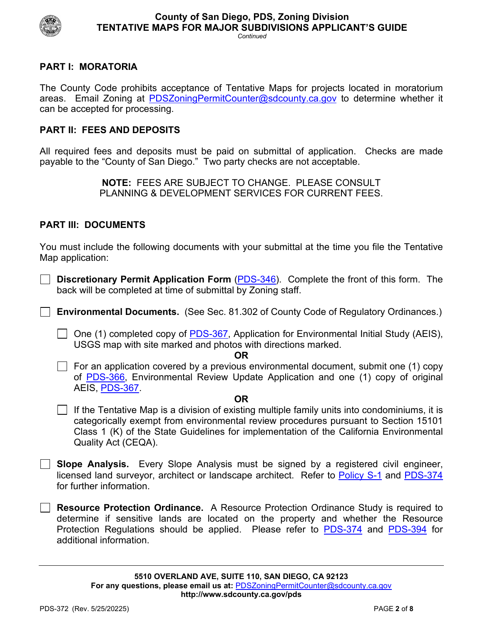

# **PART I: MORATORIA**

The County Code prohibits acceptance of Tentative Maps for projects located in moratorium areas. Email Zoning at [PDSZoningPermitCounter@sdcounty.ca.gov](mailto:PDSZoningPermitCounter@sdcounty.ca.gov) to determine whether it can be accepted for processing.

# **PART II: FEES AND DEPOSITS**

All required fees and deposits must be paid on submittal of application. Checks are made payable to the "County of San Diego." Two party checks are not acceptable.

> **NOTE:** FEES ARE SUBJECT TO CHANGE. PLEASE CONSULT PLANNING & DEVELOPMENT SERVICES FOR CURRENT FEES.

# **PART III: DOCUMENTS**

You must include the following documents with your submittal at the time you file the Tentative Map application:

**Discretionary Permit Application Form** [\(PDS-346\)](http://www.sdcounty.ca.gov/pds/zoning/formfields/PDS-PLN-346.pdf). Complete the front of this form. The back will be completed at time of submittal by Zoning staff.

**Environmental Documents.** (See Sec. 81.302 of County Code of Regulatory Ordinances.)

One (1) completed copy of [PDS-367,](http://www.sdcounty.ca.gov/pds/zoning/formfields/PDS-PLN-367.pdf) Application for Environmental Initial Study (AEIS), USGS map with site marked and photos with directions marked.

**OR**

For an application covered by a previous environmental document, submit one (1) copy of [PDS-366,](http://www.sdcounty.ca.gov/pds/zoning/formfields/PDS-PLN-366.pdf) Environmental Review Update Application and one (1) copy of original AEIS, [PDS-367.](http://www.sdcounty.ca.gov/pds/zoning/formfields/PDS-PLN-367.pdf)

#### **OR**

- $\Box$  If the Tentative Map is a division of existing multiple family units into condominiums, it is categorically exempt from environmental review procedures pursuant to Section 15101 Class 1 (K) of the State Guidelines for implementation of the California Environmental Quality Act (CEQA).
- **Slope Analysis.** Every Slope Analysis must be signed by a registered civil engineer, licensed land surveyor, architect or landscape architect. Refer to [Policy S-1](http://www.sdcounty.ca.gov/pds/zoning/formfields/POLICY-S-1.pdf) and [PDS-374](http://www.sdcounty.ca.gov/pds/zoning/formfields/PDS-PLN-374.pdf) for further information.

**Resource Protection Ordinance.** A Resource Protection Ordinance Study is required to determine if sensitive lands are located on the property and whether the Resource Protection Regulations should be applied. Please refer to [PDS-374](http://www.sdcounty.ca.gov/pds/zoning/formfields/PDS-PLN-374.pdf) and [PDS-394](http://www.sdcounty.ca.gov/pds/zoning/formfields/PDS-PLN-394.pdf) for additional information.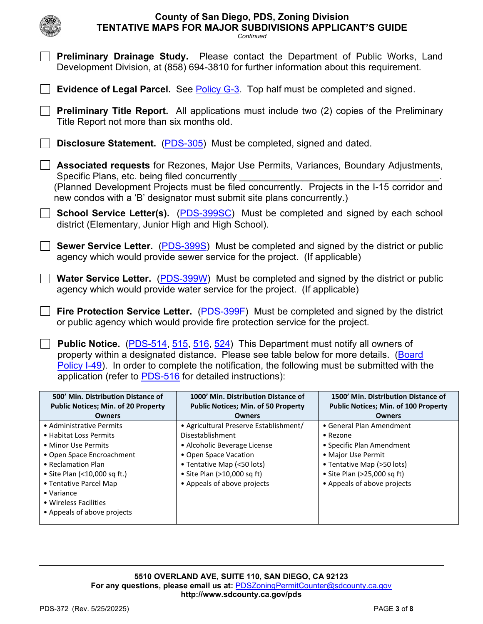|                                                                                                                                                                                                                                                                                                                                                  | <b>County of San Diego, PDS, Zoning Division</b><br>TENTATIVE MAPS FOR MAJOR SUBDIVISIONS APPLICANT'S GUIDE<br>Continued                                                                                                                                      |                                                                                                                                                                                     |  |  |
|--------------------------------------------------------------------------------------------------------------------------------------------------------------------------------------------------------------------------------------------------------------------------------------------------------------------------------------------------|---------------------------------------------------------------------------------------------------------------------------------------------------------------------------------------------------------------------------------------------------------------|-------------------------------------------------------------------------------------------------------------------------------------------------------------------------------------|--|--|
|                                                                                                                                                                                                                                                                                                                                                  | <b>Preliminary Drainage Study.</b> Please contact the Department of Public Works, Land<br>Development Division, at (858) 694-3810 for further information about this requirement.                                                                             |                                                                                                                                                                                     |  |  |
|                                                                                                                                                                                                                                                                                                                                                  | <b>Evidence of Legal Parcel.</b> See <b>Policy G-3</b> . Top half must be completed and signed.                                                                                                                                                               |                                                                                                                                                                                     |  |  |
| <b>Preliminary Title Report.</b> All applications must include two (2) copies of the Preliminary<br>Title Report not more than six months old.                                                                                                                                                                                                   |                                                                                                                                                                                                                                                               |                                                                                                                                                                                     |  |  |
| <b>Disclosure Statement.</b> (PDS-305) Must be completed, signed and dated.                                                                                                                                                                                                                                                                      |                                                                                                                                                                                                                                                               |                                                                                                                                                                                     |  |  |
| Specific Plans, etc. being filed concurrently                                                                                                                                                                                                                                                                                                    | Associated requests for Rezones, Major Use Permits, Variances, Boundary Adjustments,<br>(Planned Development Projects must be filed concurrently. Projects in the I-15 corridor and<br>new condos with a 'B' designator must submit site plans concurrently.) |                                                                                                                                                                                     |  |  |
| district (Elementary, Junior High and High School).                                                                                                                                                                                                                                                                                              | <b>School Service Letter(s).</b> (PDS-399SC) Must be completed and signed by each school                                                                                                                                                                      |                                                                                                                                                                                     |  |  |
| <b>Sewer Service Letter.</b> (PDS-399S) Must be completed and signed by the district or public<br>agency which would provide sewer service for the project. (If applicable)                                                                                                                                                                      |                                                                                                                                                                                                                                                               |                                                                                                                                                                                     |  |  |
| <b>Water Service Letter.</b> (PDS-399W) Must be completed and signed by the district or public<br>agency which would provide water service for the project. (If applicable)                                                                                                                                                                      |                                                                                                                                                                                                                                                               |                                                                                                                                                                                     |  |  |
| Fire Protection Service Letter. (PDS-399F) Must be completed and signed by the district<br>or public agency which would provide fire protection service for the project.                                                                                                                                                                         |                                                                                                                                                                                                                                                               |                                                                                                                                                                                     |  |  |
| <b>Public Notice.</b> (PDS-514, 515, 516, 524) This Department must notify all owners of<br>property within a designated distance. Please see table below for more details. (Board<br>Policy I-49). In order to complete the notification, the following must be submitted with the<br>application (refer to PDS-516 for detailed instructions): |                                                                                                                                                                                                                                                               |                                                                                                                                                                                     |  |  |
| 500' Min. Distribution Distance of<br><b>Public Notices; Min. of 20 Property</b><br><b>Owners</b>                                                                                                                                                                                                                                                | 1000' Min. Distribution Distance of<br><b>Public Notices; Min. of 50 Property</b><br><b>Owners</b>                                                                                                                                                            | 1500' Min. Distribution Distance of<br><b>Public Notices; Min. of 100 Property</b><br><b>Owners</b>                                                                                 |  |  |
| • Administrative Permits<br>• Habitat Loss Permits<br>• Minor Use Permits<br>• Open Space Encroachment<br>• Reclamation Plan<br>• Site Plan (<10,000 sq ft.)<br>• Tentative Parcel Map<br>• Variance<br>• Wireless Facilities<br>• Appeals of above projects                                                                                     | • Agricultural Preserve Establishment/<br>Disestablishment<br>· Alcoholic Beverage License<br>• Open Space Vacation<br>• Tentative Map (<50 lots)<br>• Site Plan (>10,000 sq ft)<br>• Appeals of above projects                                               | • General Plan Amendment<br>• Rezone<br>• Specific Plan Amendment<br>• Major Use Permit<br>• Tentative Map (>50 lots)<br>• Site Plan (>25,000 sq ft)<br>• Appeals of above projects |  |  |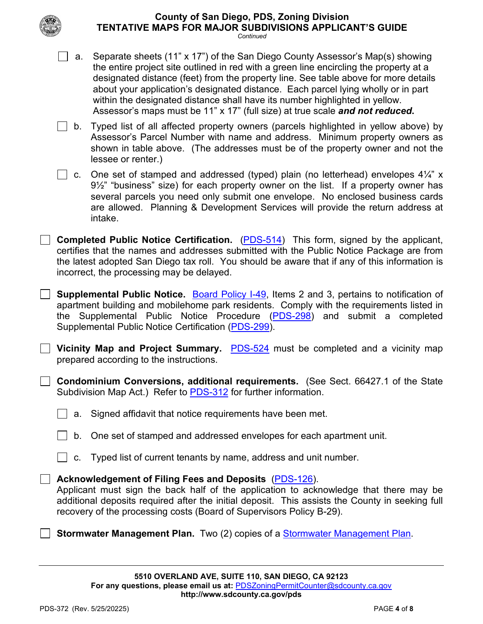| <b>County of San Diego, PDS, Zoning Division</b>               |  |
|----------------------------------------------------------------|--|
| <b>TENTATIVE MAPS FOR MAJOR SUBDIVISIONS APPLICANT'S GUIDE</b> |  |

*Continued*

| a. | Separate sheets (11" x 17") of the San Diego County Assessor's Map(s) showing<br>the entire project site outlined in red with a green line encircling the property at a<br>designated distance (feet) from the property line. See table above for more details<br>about your application's designated distance. Each parcel lying wholly or in part<br>within the designated distance shall have its number highlighted in yellow.<br>Assessor's maps must be 11" x 17" (full size) at true scale and not reduced. |
|----|--------------------------------------------------------------------------------------------------------------------------------------------------------------------------------------------------------------------------------------------------------------------------------------------------------------------------------------------------------------------------------------------------------------------------------------------------------------------------------------------------------------------|
|    | b. Typed list of all affected property owners (parcels highlighted in yellow above) by<br>Assessor's Parcel Number with name and address. Minimum property owners as<br>shown in table above. (The addresses must be of the property owner and not the<br>lessee or renter.)                                                                                                                                                                                                                                       |
|    | c. One set of stamped and addressed (typed) plain (no letterhead) envelopes $4\frac{1}{4}$ " x<br>$9\frac{1}{2}$ " "business" size) for each property owner on the list. If a property owner has<br>several parcels you need only submit one envelope. No enclosed business cards<br>are allowed. Planning & Development Services will provide the return address at<br>intake.                                                                                                                                    |
|    | <b>Completed Public Notice Certification.</b> (PDS-514) This form, signed by the applicant,<br>certifies that the names and addresses submitted with the Public Notice Package are from<br>the latest adopted San Diego tax roll. You should be aware that if any of this information is<br>incorrect, the processing may be delayed.                                                                                                                                                                              |

**Supplemental Public Notice.** [Board Policy I-49,](http://www.sdcounty.ca.gov/cob/docs/policy/I-49.pdf) Items 2 and 3, pertains to notification of apartment building and mobilehome park residents. Comply with the requirements listed in the Supplemental Public Notice Procedure [\(PDS-298\)](http://www.sdcounty.ca.gov/pds/zoning/formfields/PDS-PLN-298.pdf) and submit a completed Supplemental Public Notice Certification [\(PDS-299\)](http://www.sdcounty.ca.gov/pds/zoning/formfields/PDS-PLN-299.pdf).

**L.** Vicinity Map and Project Summary. **[PDS-524](http://www.sdcounty.ca.gov/pds/zoning/formfields/PDS-PLN-524.pdf)** must be completed and a vicinity map prepared according to the instructions.

**Condominium Conversions, additional requirements.** (See Sect. 66427.1 of the State Subdivision Map Act.) Refer to [PDS-312](http://www.sdcounty.ca.gov/pds/zoning/formfields/PDS-PLN-312.pdf) for further information.

a. Signed affidavit that notice requirements have been met.

b. One set of stamped and addressed envelopes for each apartment unit.

 $\Box$  c. Typed list of current tenants by name, address and unit number.

# **Acknowledgement of Filing Fees and Deposits** [\(PDS-126\)](http://www.sdcounty.ca.gov/pds/zoning/formfields/PDS-PLN-126.pdf).

Applicant must sign the back half of the application to acknowledge that there may be additional deposits required after the initial deposit. This assists the County in seeking full recovery of the processing costs (Board of Supervisors Policy B-29).

**Stormwater Management Plan.** Two (2) copies of a [Stormwater Management Plan.](http://www.sandiegocounty.gov/content/dam/sdc/pds/zoning/formfields/SWQMP-Intake-Form.pdf)

 $\mathcal{L}$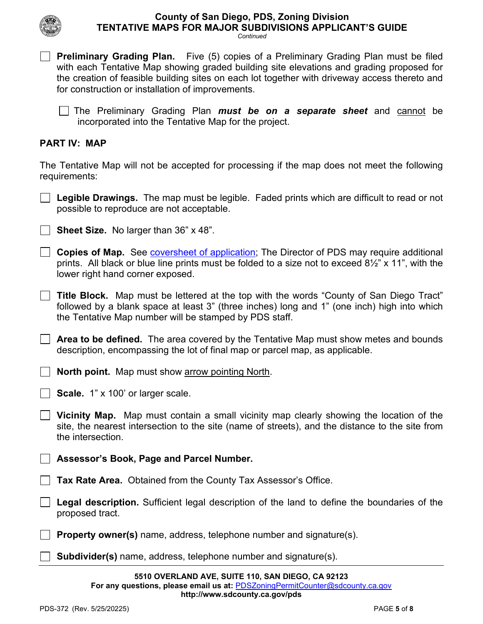*Continued*

**Preliminary Grading Plan.** Five (5) copies of a Preliminary Grading Plan must be filed with each Tentative Map showing graded building site elevations and grading proposed for the creation of feasible building sites on each lot together with driveway access thereto and

| for construction or installation of improvements.                                                                                                                                                                                                       |
|---------------------------------------------------------------------------------------------------------------------------------------------------------------------------------------------------------------------------------------------------------|
| The Preliminary Grading Plan <i>must be on a separate sheet</i> and cannot be<br>incorporated into the Tentative Map for the project.                                                                                                                   |
| <b>PART IV: MAP</b>                                                                                                                                                                                                                                     |
| The Tentative Map will not be accepted for processing if the map does not meet the following<br>requirements:                                                                                                                                           |
| <b>Legible Drawings.</b> The map must be legible. Faded prints which are difficult to read or not<br>possible to reproduce are not acceptable.                                                                                                          |
| <b>Sheet Size.</b> No larger than 36" x 48".                                                                                                                                                                                                            |
| <b>Copies of Map.</b> See coversheet of application; The Director of PDS may require additional<br>prints. All black or blue line prints must be folded to a size not to exceed $8\frac{1}{2}$ " x 11", with the<br>lower right hand corner exposed.    |
| <b>Title Block.</b> Map must be lettered at the top with the words "County of San Diego Tract"<br>followed by a blank space at least 3" (three inches) long and 1" (one inch) high into which<br>the Tentative Map number will be stamped by PDS staff. |
| <b>Area to be defined.</b> The area covered by the Tentative Map must show metes and bounds<br>description, encompassing the lot of final map or parcel map, as applicable.                                                                             |
| <b>North point.</b> Map must show arrow pointing North.                                                                                                                                                                                                 |
| Scale. 1" x 100' or larger scale.                                                                                                                                                                                                                       |
| Vicinity Map. Map must contain a small vicinity map clearly showing the location of the<br>site, the nearest intersection to the site (name of streets), and the distance to the site from<br>the intersection.                                         |
| Assessor's Book, Page and Parcel Number.                                                                                                                                                                                                                |
| Tax Rate Area. Obtained from the County Tax Assessor's Office.                                                                                                                                                                                          |
| Legal description. Sufficient legal description of the land to define the boundaries of the<br>proposed tract.                                                                                                                                          |
| <b>Property owner(s)</b> name, address, telephone number and signature(s).                                                                                                                                                                              |

**Subdivider(s)** name, address, telephone number and signature(s).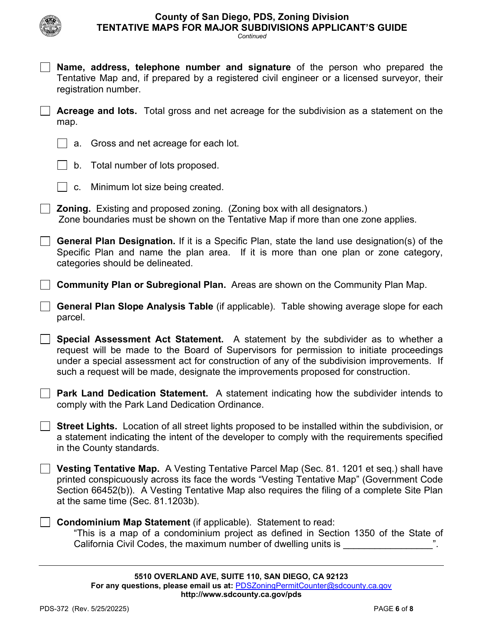

*Continued*

**Name, address, telephone number and signature** of the person who prepared the Tentative Map and, if prepared by a registered civil engineer or a licensed surveyor, their registration number. **Acreage and lots.** Total gross and net acreage for the subdivision as a statement on the map.

a. Gross and net acreage for each lot.

b. Total number of lots proposed.

 $\vert \ \vert$  c. Minimum lot size being created.

**Zoning.** Existing and proposed zoning. (Zoning box with all designators.) Zone boundaries must be shown on the Tentative Map if more than one zone applies.

**General Plan Designation.** If it is a Specific Plan, state the land use designation(s) of the Specific Plan and name the plan area. If it is more than one plan or zone category, categories should be delineated.

**Community Plan or Subregional Plan.** Areas are shown on the Community Plan Map.

**General Plan Slope Analysis Table** (if applicable). Table showing average slope for each parcel.

**Special Assessment Act Statement.** A statement by the subdivider as to whether a request will be made to the Board of Supervisors for permission to initiate proceedings under a special assessment act for construction of any of the subdivision improvements. If such a request will be made, designate the improvements proposed for construction.

**Park Land Dedication Statement.** A statement indicating how the subdivider intends to comply with the Park Land Dedication Ordinance.

**Street Lights.** Location of all street lights proposed to be installed within the subdivision, or a statement indicating the intent of the developer to comply with the requirements specified in the County standards.

**Vesting Tentative Map.** A Vesting Tentative Parcel Map (Sec. 81. 1201 et seq.) shall have printed conspicuously across its face the words "Vesting Tentative Map" (Government Code Section 66452(b)). A Vesting Tentative Map also requires the filing of a complete Site Plan at the same time (Sec. 81.1203b).

**Condominium Map Statement** (if applicable). Statement to read: "This is a map of a condominium project as defined in Section 1350 of the State of California Civil Codes, the maximum number of dwelling units is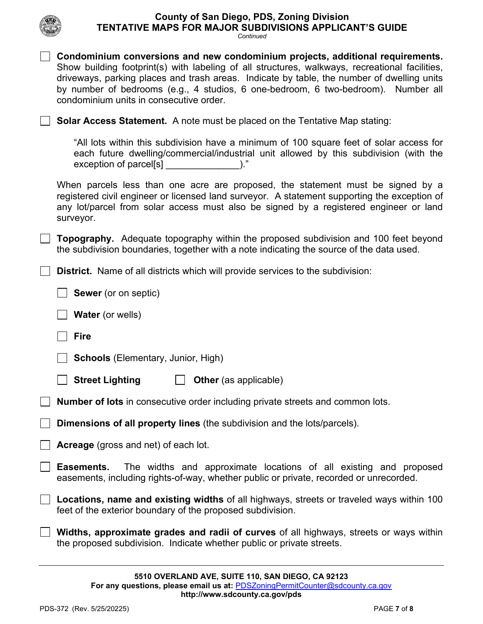

*Continued*

| Condominium conversions and new condominium projects, additional requirements.<br>Show building footprint(s) with labeling of all structures, walkways, recreational facilities,<br>driveways, parking places and trash areas. Indicate by table, the number of dwelling units<br>by number of bedrooms (e.g., 4 studios, 6 one-bedroom, 6 two-bedroom). Number all<br>condominium units in consecutive order. |
|----------------------------------------------------------------------------------------------------------------------------------------------------------------------------------------------------------------------------------------------------------------------------------------------------------------------------------------------------------------------------------------------------------------|
| <b>Solar Access Statement.</b> A note must be placed on the Tentative Map stating:                                                                                                                                                                                                                                                                                                                             |
| "All lots within this subdivision have a minimum of 100 square feet of solar access for<br>each future dwelling/commercial/industrial unit allowed by this subdivision (with the<br>exception of parcel[s] [2015]                                                                                                                                                                                              |
| When parcels less than one acre are proposed, the statement must be signed by a<br>registered civil engineer or licensed land surveyor. A statement supporting the exception of<br>any lot/parcel from solar access must also be signed by a registered engineer or land<br>surveyor.                                                                                                                          |
| <b>Topography.</b> Adequate topography within the proposed subdivision and 100 feet beyond<br>the subdivision boundaries, together with a note indicating the source of the data used.                                                                                                                                                                                                                         |
| <b>District.</b> Name of all districts which will provide services to the subdivision:                                                                                                                                                                                                                                                                                                                         |
| <b>Sewer</b> (or on septic)                                                                                                                                                                                                                                                                                                                                                                                    |
| <b>Water</b> (or wells)                                                                                                                                                                                                                                                                                                                                                                                        |
| <b>Fire</b>                                                                                                                                                                                                                                                                                                                                                                                                    |
| <b>Schools</b> (Elementary, Junior, High)                                                                                                                                                                                                                                                                                                                                                                      |
| <b>Street Lighting</b><br><b>Other</b> (as applicable)                                                                                                                                                                                                                                                                                                                                                         |
| Number of lots in consecutive order including private streets and common lots.                                                                                                                                                                                                                                                                                                                                 |
| Dimensions of all property lines (the subdivision and the lots/parcels).                                                                                                                                                                                                                                                                                                                                       |
| <b>Acreage</b> (gross and net) of each lot.                                                                                                                                                                                                                                                                                                                                                                    |
| The widths and approximate locations of all existing and proposed<br>Easements.<br>easements, including rights-of-way, whether public or private, recorded or unrecorded.                                                                                                                                                                                                                                      |
| Locations, name and existing widths of all highways, streets or traveled ways within 100                                                                                                                                                                                                                                                                                                                       |
| feet of the exterior boundary of the proposed subdivision.                                                                                                                                                                                                                                                                                                                                                     |